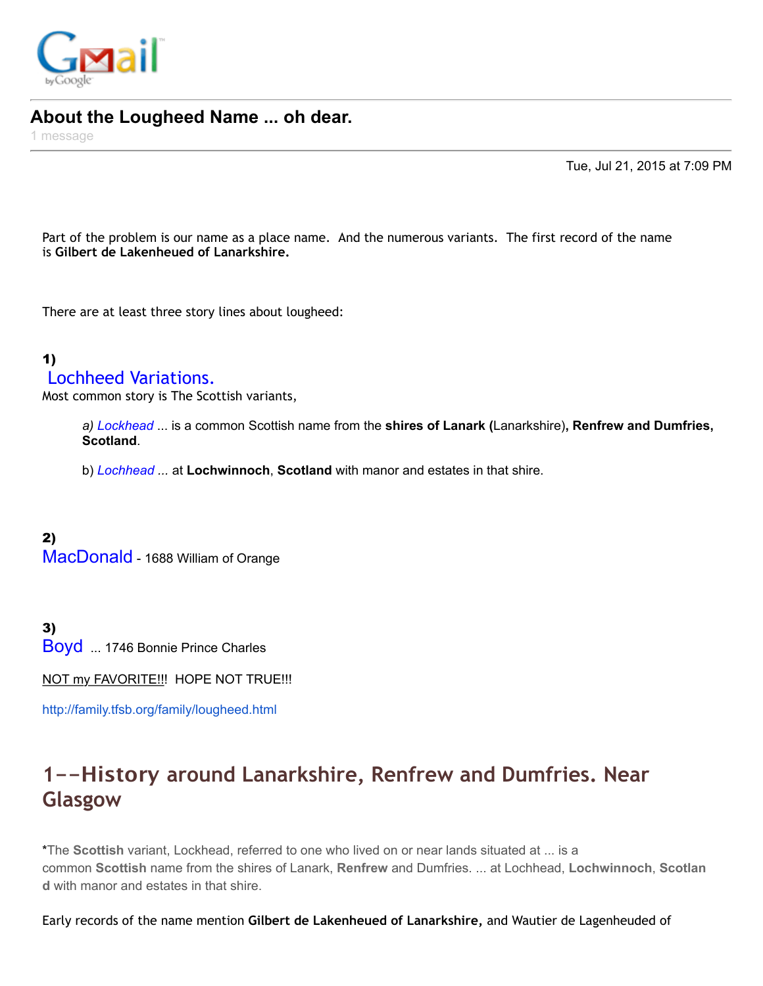

#### **About the Lougheed Name ... oh dear.**

1 message

Tue, Jul 21, 2015 at 7:09 PM

Part of the problem is our name as a place name. And the numerous variants. The first record of the name is **Gilbert de Lakenheued of Lanarkshire.** 

There are at least three story lines about lougheed:

#### 1) Lochheed Variations.

Most common story is The Scottish variants,

*a) Lockhead* ... is a common Scottish name from the **shires of Lanark (**Lanarkshire)**, Renfrew and Dumfries, Scotland**.

b) *Lochhead ...* at **Lochwinnoch**, **Scotland** with manor and estates in that shire.

2) MacDonald - 1688 William of Orange

3) Boyd ... 1746 Bonnie Prince Charles

NOT my FAVORITE!!! HOPE NOT TRUE!!!

<http://family.tfsb.org/family/lougheed.html>

## **1--History around Lanarkshire, Renfrew and Dumfries. Near Glasgow**

\*The **Scottish** variant, Lockhead, referred to one who lived on or near lands situated at ... is a common **Scottish** name from the shires of Lanark, **Renfrew** and Dumfries. ... at Lochhead, **Lochwinnoch**, **Scotlan d** with manor and estates in that shire.

Early records of the name mention **Gilbert de Lakenheued of Lanarkshire,** and Wautier de Lagenheuded of